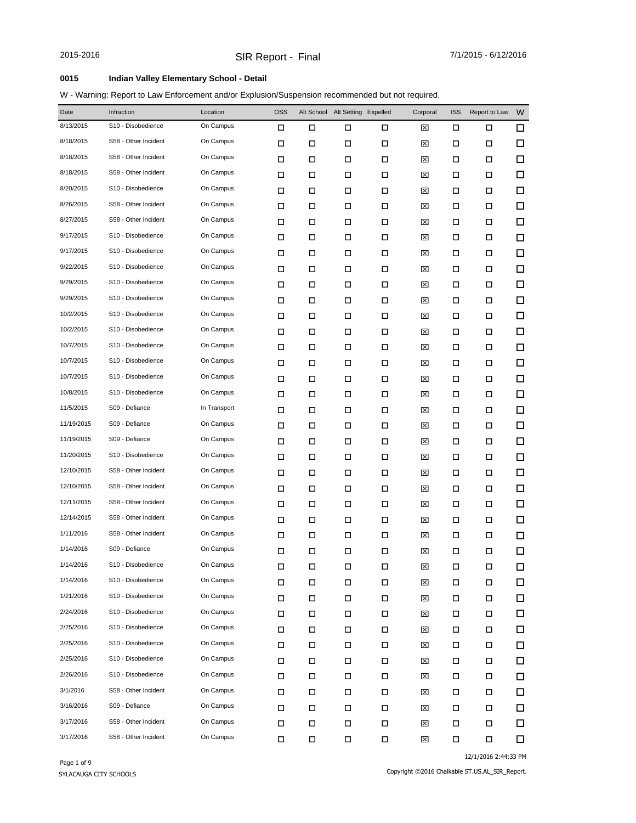### **0015 Indian Valley Elementary School - Detail**

W - Warning: Report to Law Enforcement and/or Explusion/Suspension recommended but not required.

| Date       | Infraction           | Location     | <b>OSS</b> |   | Alt School Alt Setting Expelled |        | Corporal | <b>ISS</b> | Report to Law | W      |
|------------|----------------------|--------------|------------|---|---------------------------------|--------|----------|------------|---------------|--------|
| 8/13/2015  | S10 - Disobedience   | On Campus    | □          | □ | П                               | □      | ⊠        | □          | □             | $\Box$ |
| 8/18/2015  | S58 - Other Incident | On Campus    | □          | □ | □                               | П      | ⊠        | □          | $\Box$        | $\Box$ |
| 8/18/2015  | S58 - Other Incident | On Campus    | □          | □ | □                               | □      | ⊠        | □          | □             | $\Box$ |
| 8/18/2015  | S58 - Other Incident | On Campus    | □          | □ | □                               | □      | ⊠        | □          | □             | $\Box$ |
| 8/20/2015  | S10 - Disobedience   | On Campus    | □          | □ | □                               | □      | ⊠        | □          | □             | $\Box$ |
| 8/26/2015  | S58 - Other Incident | On Campus    | □          | □ | □                               | □      | ⊠        | □          | □             | $\Box$ |
| 8/27/2015  | S58 - Other Incident | On Campus    | □          | □ | □                               | □      | ⊠        | □          | □             | $\Box$ |
| 9/17/2015  | S10 - Disobedience   | On Campus    | □          | □ | □                               | □      | ⊠        | □          | □             | $\Box$ |
| 9/17/2015  | S10 - Disobedience   | On Campus    | □          | □ | □                               | □      | ⊠        | □          | □             | $\Box$ |
| 9/22/2015  | S10 - Disobedience   | On Campus    | □          | □ | □                               | □      | ⊠        | □          | □             | $\Box$ |
| 9/29/2015  | S10 - Disobedience   | On Campus    | □          | □ | □                               | □      | ⊠        | □          | □             | $\Box$ |
| 9/29/2015  | S10 - Disobedience   | On Campus    | □          | □ | □                               | □      | ⊠        | □          | □             | $\Box$ |
| 10/2/2015  | S10 - Disobedience   | On Campus    | □          | □ | □                               | □      | ⊠        | □          | □             | $\Box$ |
| 10/2/2015  | S10 - Disobedience   | On Campus    | □          | □ | □                               | □      | ⊠        | □          | □             | $\Box$ |
| 10/7/2015  | S10 - Disobedience   | On Campus    | □          | □ | □                               | □      | ⊠        | □          | □             | $\Box$ |
| 10/7/2015  | S10 - Disobedience   | On Campus    | □          | □ | □                               | □      | ⊠        | □          | □             | $\Box$ |
| 10/7/2015  | S10 - Disobedience   | On Campus    | □          | □ | □                               | □      | ⊠        | □          | □             | $\Box$ |
| 10/8/2015  | S10 - Disobedience   | On Campus    | □          | □ | □                               | □      | ⊠        | □          | □             | $\Box$ |
| 11/5/2015  | S09 - Defiance       | In Transport | □          | □ | □                               | □      | ⊠        | □          | □             | $\Box$ |
| 11/19/2015 | S09 - Defiance       | On Campus    | □          | □ | □                               | □      | ⊠        | □          | □             | $\Box$ |
| 11/19/2015 | S09 - Defiance       | On Campus    | □          | □ | □                               | □      | ⊠        | □          | □             | $\Box$ |
| 11/20/2015 | S10 - Disobedience   | On Campus    | □          | □ | □                               | □      | ⊠        | □          | □             | $\Box$ |
| 12/10/2015 | S58 - Other Incident | On Campus    | □          | □ | □                               | □      | ⊠        | □          | □             | $\Box$ |
| 12/10/2015 | S58 - Other Incident | On Campus    | □          | □ | □                               | □      | ⊠        | □          | □             | $\Box$ |
| 12/11/2015 | S58 - Other Incident | On Campus    | □          | □ | □                               | □      | ⊠        | □          | □             | $\Box$ |
| 12/14/2015 | S58 - Other Incident | On Campus    | □          | □ | □                               | □      | ⊠        | □          | □             | $\Box$ |
| 1/11/2016  | S58 - Other Incident | On Campus    | □          | □ | □                               | □      | ⊠        | □          | □             | $\Box$ |
| 1/14/2016  | S09 - Defiance       | On Campus    | □          | □ | □                               | □      | 区        | □          | □             | $\Box$ |
| 1/14/2016  | S10 - Disobedience   | On Campus    | $\Box$     | Д | $\Box$                          | $\Box$ | 図        | $\Box$     | $\Box$        | $\Box$ |
| 1/14/2016  | S10 - Disobedience   | On Campus    | $\Box$     | П | П                               | $\Box$ | ⊠        | □          | П             | 口      |
| 1/21/2016  | S10 - Disobedience   | On Campus    | П          | П | $\Box$                          | П      | ⊠        | □          | П             | □      |
| 2/24/2016  | S10 - Disobedience   | On Campus    | П          | П | □                               | П      | ⊠        | □          | П             | □      |
| 2/25/2016  | S10 - Disobedience   | On Campus    | □          | П | $\Box$                          | П      | ⊠        | □          | □             | $\Box$ |
| 2/25/2016  | S10 - Disobedience   | On Campus    | П          | П | П                               | $\Box$ | ⊠        | □          | □             | $\Box$ |
| 2/25/2016  | S10 - Disobedience   | On Campus    | □          | □ | $\Box$                          | □      | ⊠        | □          | □             | □      |
| 2/26/2016  | S10 - Disobedience   | On Campus    | □          | П | П                               | П      | ⊠        | □          | □             | 口      |
| 3/1/2016   | S58 - Other Incident | On Campus    | □          | □ | П                               | П      | ⊠        | □          | □             | $\Box$ |
| 3/16/2016  | S09 - Defiance       | On Campus    | П          | □ | П                               | П      | ⊠        | □          | □             | 口      |
| 3/17/2016  | S58 - Other Incident | On Campus    | □          | П | П                               | П      | ⊠        | □          | П             | □      |
| 3/17/2016  | S58 - Other Incident | On Campus    | П          | П | П                               | П      | ⊠        | П          | $\Box$        | □      |

12/1/2016 2:44:33 PM

Copyright ©2016 Chalkable ST.US.AL\_SIR\_Report.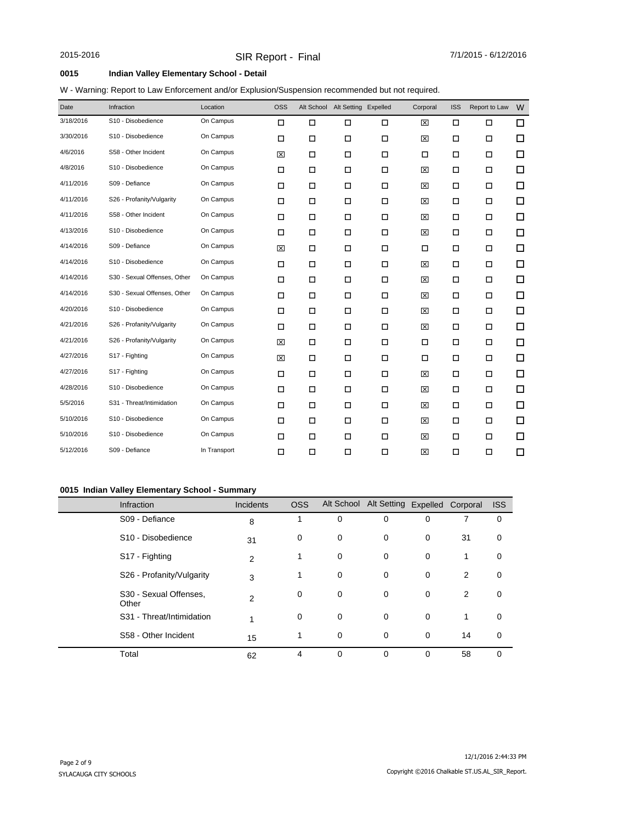### **0015 Indian Valley Elementary School - Detail**

### W - Warning: Report to Law Enforcement and/or Explusion/Suspension recommended but not required.

| Date      | Infraction                   | Location     | <b>OSS</b> |        | Alt School Alt Setting Expelled |        | Corporal | <b>ISS</b> | Report to Law | W |
|-----------|------------------------------|--------------|------------|--------|---------------------------------|--------|----------|------------|---------------|---|
| 3/18/2016 | S10 - Disobedience           | On Campus    | □          | $\Box$ | П                               | □      | ⊠        | □          | □             | □ |
| 3/30/2016 | S10 - Disobedience           | On Campus    | $\Box$     | $\Box$ | $\Box$                          | $\Box$ | 図        | $\Box$     | $\Box$        | □ |
| 4/6/2016  | S58 - Other Incident         | On Campus    | 区          | $\Box$ | П                               | $\Box$ | П        | □          | $\Box$        | □ |
| 4/8/2016  | S10 - Disobedience           | On Campus    | □          | □      | $\Box$                          | □      | 図        | □          | □             | □ |
| 4/11/2016 | S09 - Defiance               | On Campus    | $\Box$     | $\Box$ | $\Box$                          | $\Box$ | ⊠        | □          | $\Box$        | □ |
| 4/11/2016 | S26 - Profanity/Vulgarity    | On Campus    | □          | □      | П                               | $\Box$ | ⊠        | □          | □             | □ |
| 4/11/2016 | S58 - Other Incident         | On Campus    | $\Box$     | $\Box$ | П                               | $\Box$ | 図        | □          | $\Box$        | □ |
| 4/13/2016 | S10 - Disobedience           | On Campus    | $\Box$     | $\Box$ | $\Box$                          | $\Box$ | 区        | □          | □             | □ |
| 4/14/2016 | S09 - Defiance               | On Campus    | ⊠          | □      | П                               | □      | □        | □          | □             | □ |
| 4/14/2016 | S10 - Disobedience           | On Campus    | □          | □      | $\Box$                          | $\Box$ | ⊠        | □          | □             | □ |
| 4/14/2016 | S30 - Sexual Offenses, Other | On Campus    | □          | □      | П                               | $\Box$ | ⊠        | □          | □             | □ |
| 4/14/2016 | S30 - Sexual Offenses, Other | On Campus    | □          | □      | П                               | □      | ⊠        | □          | □             | □ |
| 4/20/2016 | S10 - Disobedience           | On Campus    | $\Box$     | $\Box$ | $\Box$                          | $\Box$ | ⊠        | □          | $\Box$        | □ |
| 4/21/2016 | S26 - Profanity/Vulgarity    | On Campus    | □          | □      | $\Box$                          | $\Box$ | ⊠        | □          | □             | □ |
| 4/21/2016 | S26 - Profanity/Vulgarity    | On Campus    | ⊠          | $\Box$ | $\Box$                          | $\Box$ | $\Box$   | $\Box$     | $\Box$        | □ |
| 4/27/2016 | S17 - Fighting               | On Campus    | ⊠          | □      | П                               | $\Box$ | □        | □          | □             | □ |
| 4/27/2016 | S17 - Fighting               | On Campus    | □          | □      | □                               | □      | ⊠        | □          | □             | □ |
| 4/28/2016 | S10 - Disobedience           | On Campus    | □          | □      | $\Box$                          | $\Box$ | ⊠        | □          | □             | □ |
| 5/5/2016  | S31 - Threat/Intimidation    | On Campus    | □          | □      | $\Box$                          | □      | ⊠        | □          | □             | □ |
| 5/10/2016 | S10 - Disobedience           | On Campus    | □          | □      | $\Box$                          | $\Box$ | ⊠        | □          | □             | □ |
| 5/10/2016 | S10 - Disobedience           | On Campus    | □          | □      | П                               | $\Box$ | ⊠        | □          | □             | □ |
| 5/12/2016 | S09 - Defiance               | In Transport | □          | □      | $\Box$                          | $\Box$ | 図        | □          | □             | □ |

### **0015 Indian Valley Elementary School - Summary**

| Infraction                      | <b>Incidents</b> | <b>OSS</b> |   | Alt School Alt Setting Expelled Corporal |          |    | <b>ISS</b> |
|---------------------------------|------------------|------------|---|------------------------------------------|----------|----|------------|
| S09 - Defiance                  | 8                |            | 0 | 0                                        | 0        |    | 0          |
| S <sub>10</sub> - Disobedience  | 31               | 0          | 0 | 0                                        | 0        | 31 | 0          |
| S17 - Fighting                  | 2                |            | 0 | 0                                        | 0        | 1  | 0          |
| S26 - Profanity/Vulgarity       | 3                | 1          | 0 | 0                                        | 0        | 2  | 0          |
| S30 - Sexual Offenses,<br>Other | 2                | 0          | 0 | 0                                        | 0        | 2  | 0          |
| S31 - Threat/Intimidation       |                  | 0          | 0 | 0                                        | 0        | 1  | 0          |
| S58 - Other Incident            | 15               |            | 0 | 0                                        | 0        | 14 | 0          |
| Total                           | 62               | 4          | 0 | $\Omega$                                 | $\Omega$ | 58 | 0          |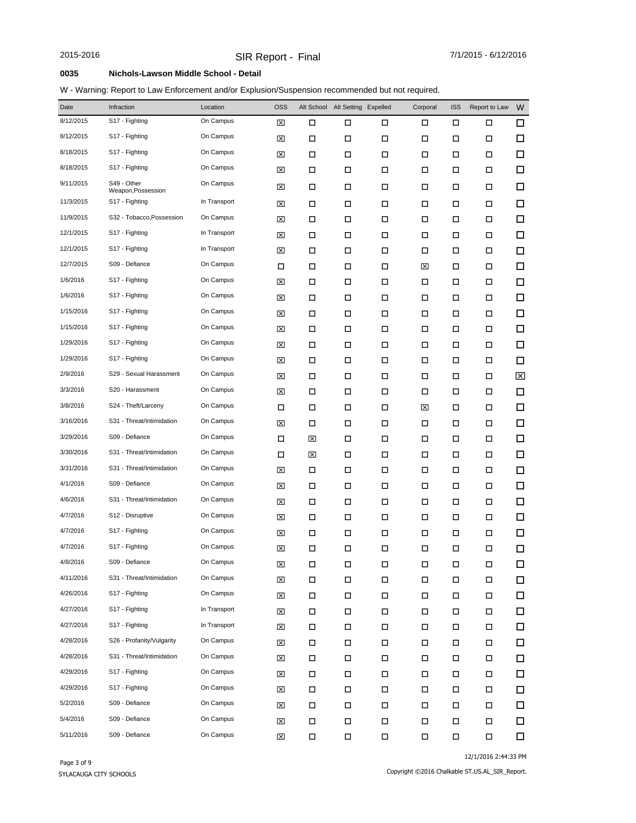#### **0035 Nichols-Lawson Middle School - Detail**

### W - Warning: Report to Law Enforcement and/or Explusion/Suspension recommended but not required.

| Date      | Infraction                        | Location     | <b>OSS</b>  | Alt School | Alt Setting Expelled |        | Corporal | <b>ISS</b> | Report to Law | W      |
|-----------|-----------------------------------|--------------|-------------|------------|----------------------|--------|----------|------------|---------------|--------|
| 8/12/2015 | S17 - Fighting                    | On Campus    | ⊠           | $\Box$     | П                    | □      | □        | □          | □             | 口      |
| 8/12/2015 | S17 - Fighting                    | On Campus    | ⊠           | □          | □                    | □      | □        | П          | □             | $\Box$ |
| 8/18/2015 | S17 - Fighting                    | On Campus    | ⊠           | □          | □                    | □      | □        | □          | □             | □      |
| 8/18/2015 | S17 - Fighting                    | On Campus    | ⊠           | □          | □                    | □      | □        | □          | □             | $\Box$ |
| 9/11/2015 | S49 - Other<br>Weapon, Possession | On Campus    | ⊠           | □          | □                    | □      | □        | □          | □             | □      |
| 11/3/2015 | S <sub>17</sub> - Fighting        | In Transport | ⊠           | □          | □                    | □      | □        | □          | □             | □      |
| 11/9/2015 | S32 - Tobacco, Possession         | On Campus    | ⊠           | □          | □                    | □      | □        | □          | □             | $\Box$ |
| 12/1/2015 | S17 - Fighting                    | In Transport | ⊠           | □          | □                    | □      | □        | □          | □             | □      |
| 12/1/2015 | S17 - Fighting                    | In Transport | ⊠           | □          | □                    | □      | □        | □          | □             | $\Box$ |
| 12/7/2015 | S09 - Defiance                    | On Campus    | □           | □          | □                    | □      | ⊠        | □          | □             | $\Box$ |
| 1/6/2016  | S17 - Fighting                    | On Campus    | ⊠           | □          | □                    | □      | □        | □          | □             | $\Box$ |
| 1/6/2016  | S17 - Fighting                    | On Campus    | ⊠           | □          | □                    | □      | □        | □          | □             | $\Box$ |
| 1/15/2016 | S17 - Fighting                    | On Campus    | ⊠           | □          | П                    | □      | □        | □          | □             | $\Box$ |
| 1/15/2016 | S17 - Fighting                    | On Campus    | ⊠           | □          | □                    | □      | □        | □          | □             | $\Box$ |
| 1/29/2016 | S17 - Fighting                    | On Campus    | ⊠           | □          | □                    | □      | □        | П          | □             | $\Box$ |
| 1/29/2016 | S17 - Fighting                    | On Campus    | ⊠           | □          | □                    | $\Box$ | □        | □          | □             | $\Box$ |
| 2/9/2016  | S29 - Sexual Harassment           | On Campus    | ⊠           | □          | □                    | □      | □        | □          | □             | ⊠      |
| 3/3/2016  | S20 - Harassment                  | On Campus    | ⊠           | □          | □                    | □      | □        | □          | □             | $\Box$ |
| 3/8/2016  | S24 - Theft/Larceny               | On Campus    | □           | □          | □                    | □      | ⊠        | □          | □             | $\Box$ |
| 3/16/2016 | S31 - Threat/Intimidation         | On Campus    | ⊠           | □          | □                    | □      | □        | □          | □             | $\Box$ |
| 3/29/2016 | S09 - Defiance                    | On Campus    | □           | ⊠          | □                    | □      | □        | □          | □             | $\Box$ |
| 3/30/2016 | S31 - Threat/Intimidation         | On Campus    | □           | ⊠          | □                    | □      | □        | □          | □             | $\Box$ |
| 3/31/2016 | S31 - Threat/Intimidation         | On Campus    | ⊠           | □          | □                    | □      | □        | □          | □             | □      |
| 4/1/2016  | S09 - Defiance                    | On Campus    | ⊠           | □          | □                    | □      | □        | □          | □             | $\Box$ |
| 4/6/2016  | S31 - Threat/Intimidation         | On Campus    | ⊠           | □          | □                    | □      | □        | □          | □             | $\Box$ |
| 4/7/2016  | S12 - Disruptive                  | On Campus    | ⊠           | □          | □                    | □      | □        | □          | □             | 口      |
| 4/7/2016  | S17 - Fighting                    | On Campus    | ⊠           | □          | □                    | □      | □        | □          | □             | 口      |
| 4/7/2016  | S17 - Fighting                    | On Campus    | 図           | □          | □                    | □      | □        | □          | □             | □      |
| 4/8/2016  | S09 - Defiance                    | On Campus    | $\boxtimes$ | $\Box$     | $\Box$               | $\Box$ | Д        | $\Box$     | $\Box$        | $\Box$ |
| 4/11/2016 | S31 - Threat/Intimidation         | On Campus    | $\boxtimes$ | □          | П                    | $\Box$ | П        | П          | П             | 口      |
| 4/26/2016 | S17 - Fighting                    | On Campus    | $\boxtimes$ | $\Box$     | П                    | $\Box$ | $\Box$   | П          | $\Box$        | □      |
| 4/27/2016 | S17 - Fighting                    | In Transport | ⊠           | $\Box$     | П                    | П      | $\Box$   | П          | П             | 口      |
| 4/27/2016 | S17 - Fighting                    | In Transport | ⊠           | $\Box$     | П                    | $\Box$ | $\Box$   | П          | П             | □      |
| 4/28/2016 | S26 - Profanity/Vulgarity         | On Campus    | ⊠           | □          | П                    | $\Box$ | П        | □          | П             | $\Box$ |
| 4/28/2016 | S31 - Threat/Intimidation         | On Campus    | ⊠           | □          | П                    | П      | П        | □          | П             | 口      |
| 4/29/2016 | S17 - Fighting                    | On Campus    | ⊠           | □          | П                    | $\Box$ | П        | □          | П             | 口      |
| 4/29/2016 | S17 - Fighting                    | On Campus    | ⊠           | □          | П                    | $\Box$ | П        | □          | П             | $\Box$ |
| 5/2/2016  | S09 - Defiance                    | On Campus    | ⊠           | □          | П                    | $\Box$ | П        | □          | П             | $\Box$ |
| 5/4/2016  | S09 - Defiance                    | On Campus    | ⊠           | П          | П                    | $\Box$ | П        | П          | П             | □      |
| 5/11/2016 | S09 - Defiance                    | On Campus    | ⊠           | П          | П                    | $\Box$ | $\Box$   | $\Box$     | П             | $\Box$ |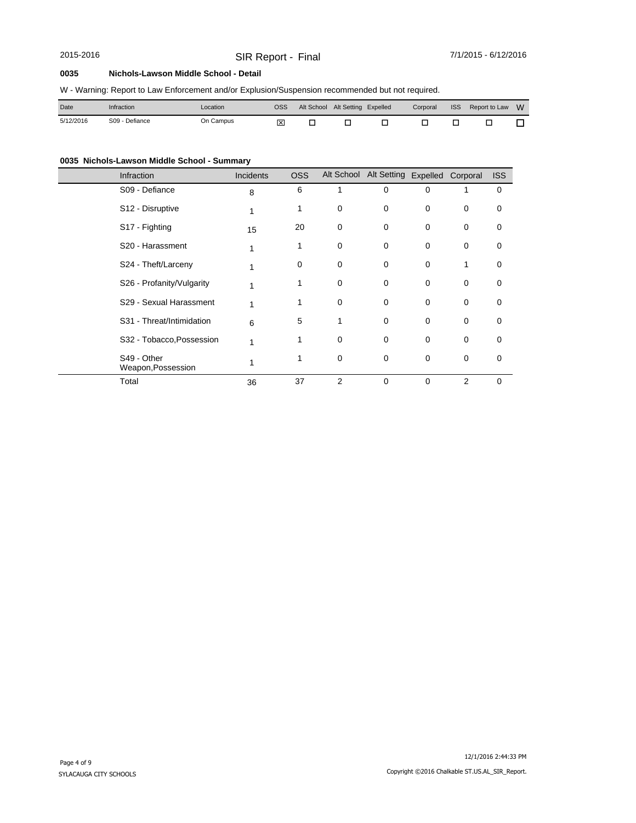# SIR Report - Final 2015-2016 7/1/2015 - 6/12/2016

#### **0035 Nichols-Lawson Middle School - Detail**

|  |  |  |  |  | W - Warning: Report to Law Enforcement and/or Explusion/Suspension recommended but not required. |
|--|--|--|--|--|--------------------------------------------------------------------------------------------------|
|--|--|--|--|--|--------------------------------------------------------------------------------------------------|

| Date      | Infraction     | ∟ocation  | OSS <sup>.</sup> | Alt School Alt Setting Expelled |  |  | Corporal ISS Report to Law W |  |
|-----------|----------------|-----------|------------------|---------------------------------|--|--|------------------------------|--|
| 5/12/2016 | S09 - Defiance | On Campus | 冈                |                                 |  |  |                              |  |

## **0035 Nichols-Lawson Middle School - Summary**

| Infraction                        | Incidents | <b>OSS</b> |                | Alt School Alt Setting Expelled Corporal |          |                | <b>ISS</b> |
|-----------------------------------|-----------|------------|----------------|------------------------------------------|----------|----------------|------------|
| S09 - Defiance                    | 8         | 6          | 1              | 0                                        | 0        |                | 0          |
| S12 - Disruptive                  |           | 1          | 0              | 0                                        | 0        | 0              | 0          |
| S17 - Fighting                    | 15        | 20         | 0              | 0                                        | $\Omega$ | 0              | 0          |
| S <sub>20</sub> - Harassment      |           | 1          | 0              | 0                                        | $\Omega$ | 0              | 0          |
| S24 - Theft/Larceny               |           | 0          | 0              | 0                                        | $\Omega$ |                | 0          |
| S26 - Profanity/Vulgarity         |           |            | 0              | 0                                        | $\Omega$ | 0              | 0          |
| S29 - Sexual Harassment           |           |            | 0              | 0                                        | 0        | 0              | 0          |
| S31 - Threat/Intimidation         | 6         | 5          | 1              | 0                                        | $\Omega$ | $\mathbf 0$    | 0          |
| S32 - Tobacco, Possession         |           | 1          | 0              | 0                                        | $\Omega$ | $\Omega$       | 0          |
| S49 - Other<br>Weapon, Possession |           |            | 0              | 0                                        | $\Omega$ | 0              | 0          |
| Total                             | 36        | 37         | $\overline{2}$ | 0                                        | $\Omega$ | $\overline{2}$ | 0          |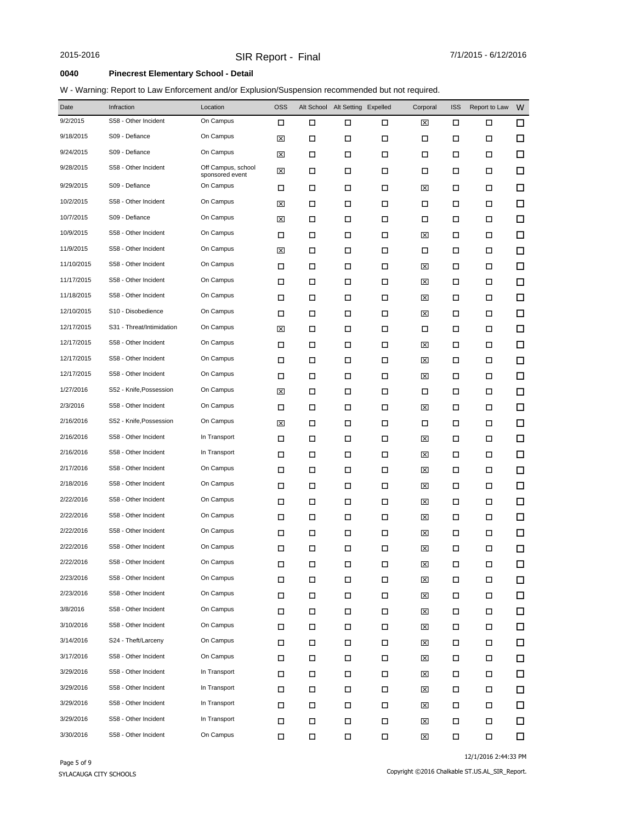### **0040 Pinecrest Elementary School - Detail**

### W - Warning: Report to Law Enforcement and/or Explusion/Suspension recommended but not required.

| Date       | Infraction                | Location                              | <b>OSS</b> | Alt School | Alt Setting | Expelled | Corporal | <b>ISS</b> | Report to Law | W      |
|------------|---------------------------|---------------------------------------|------------|------------|-------------|----------|----------|------------|---------------|--------|
| 9/2/2015   | S58 - Other Incident      | On Campus                             | □          | □          | □           | □        | ⊠        | □          | □             | $\Box$ |
| 9/18/2015  | S09 - Defiance            | On Campus                             | ⊠          | П          | □           | □        | □        | □          | □             | $\Box$ |
| 9/24/2015  | S09 - Defiance            | On Campus                             | ⊠          | □          | □           | □        | □        | □          | □             | □      |
| 9/28/2015  | S58 - Other Incident      | Off Campus, school<br>sponsored event | ⊠          | □          | □           | □        | □        | □          | □             | $\Box$ |
| 9/29/2015  | S09 - Defiance            | On Campus                             | □          | □          | □           | □        | ⊠        | □          | □             | $\Box$ |
| 10/2/2015  | S58 - Other Incident      | On Campus                             | ⊠          | □          | □           | □        | □        | □          | □             | □      |
| 10/7/2015  | S09 - Defiance            | On Campus                             | ⊠          | □          | □           | □        | □        | □          | □             | $\Box$ |
| 10/9/2015  | S58 - Other Incident      | On Campus                             | □          | □          | □           | □        | ⊠        | □          | □             | □      |
| 11/9/2015  | S58 - Other Incident      | On Campus                             | ⊠          | □          | □           | □        | □        | □          | □             | $\Box$ |
| 11/10/2015 | S58 - Other Incident      | On Campus                             | □          | □          | □           | □        | ⊠        | □          | □             | □      |
| 11/17/2015 | S58 - Other Incident      | On Campus                             | □          | П          | □           | □        | ⊠        | □          | □             | $\Box$ |
| 11/18/2015 | S58 - Other Incident      | On Campus                             | □          | □          | □           | □        | ⊠        | □          | □             | □      |
| 12/10/2015 | S10 - Disobedience        | On Campus                             | □          | □          | □           | □        | ⊠        | □          | □             | $\Box$ |
| 12/17/2015 | S31 - Threat/Intimidation | On Campus                             | ⊠          | □          | □           | □        | □        | □          | □             | □      |
| 12/17/2015 | S58 - Other Incident      | On Campus                             | □          | □          | □           | □        | ⊠        | □          | □             | $\Box$ |
| 12/17/2015 | S58 - Other Incident      | On Campus                             | □          | □          | □           | □        | ⊠        | □          | □             | □      |
| 12/17/2015 | S58 - Other Incident      | On Campus                             | □          | □          | □           | □        | ⊠        | □          | □             | □      |
| 1/27/2016  | S52 - Knife, Possession   | On Campus                             | ⊠          | □          | □           | □        | □        | □          | □             | □      |
| 2/3/2016   | S58 - Other Incident      | On Campus                             | □          | □          | □           | □        | ⊠        | □          | □             | $\Box$ |
| 2/16/2016  | S52 - Knife, Possession   | On Campus                             | ⊠          | □          | □           | □        | □        | □          | □             | $\Box$ |
| 2/16/2016  | S58 - Other Incident      | In Transport                          | □          | □          | □           | □        | ⊠        | □          | □             | $\Box$ |
| 2/16/2016  | S58 - Other Incident      | In Transport                          | □          | □          | □           | □        | ⊠        | □          | □             | $\Box$ |
| 2/17/2016  | S58 - Other Incident      | On Campus                             | □          | □          | □           | □        | ⊠        | □          | □             | □      |
| 2/18/2016  | S58 - Other Incident      | On Campus                             | □          | □          | □           | □        | ⊠        | □          | □             | □      |
| 2/22/2016  | S58 - Other Incident      | On Campus                             | □          | □          | □           | □        | ⊠        | □          | □             | $\Box$ |
| 2/22/2016  | S58 - Other Incident      | On Campus                             | □          | □          | □           | □        | ⊠        | □          | □             | □      |
| 2/22/2016  | S58 - Other Incident      | On Campus                             | □          | □          | □           | □        | ⊠        | □          | □             | □      |
| 2/22/2016  | S58 - Other Incident      | On Campus                             | □          | □          | □           | □        | ⊠        | □          | □             | □      |
| 2/22/2016  | S58 - Other Incident      | On Campus                             | $\Box$     | $\Box$     | Д           | $\Box$   | 図        | $\Box$     | $\Box$        | $\Box$ |
| 2/23/2016  | S58 - Other Incident      | On Campus                             | $\Box$     | $\Box$     | П           | $\Box$   | ⊠        | П          | П             | □      |
| 2/23/2016  | S58 - Other Incident      | On Campus                             | П          | $\Box$     | П           | $\Box$   | ⊠        | П          | $\Box$        | □      |
| 3/8/2016   | S58 - Other Incident      | On Campus                             | □          | □          | П           | $\Box$   | ⊠        | □          | П             | □      |
| 3/10/2016  | S58 - Other Incident      | On Campus                             | П          | □          | $\Box$      | $\Box$   | ⊠        | □          | П             | □      |
| 3/14/2016  | S24 - Theft/Larceny       | On Campus                             | □          | □          | П           | □        | ⊠        | □          | □             | 口      |
| 3/17/2016  | S58 - Other Incident      | On Campus                             | □          | □          | П           | $\Box$   | ⊠        | □          | П             | □      |
| 3/29/2016  | S58 - Other Incident      | In Transport                          | □          | □          | П           | □        | ⊠        | □          | П             | □      |
| 3/29/2016  | S58 - Other Incident      | In Transport                          | П          | □          | П           | $\Box$   | ⊠        | □          | П             | □      |
| 3/29/2016  | S58 - Other Incident      | In Transport                          | □          | □          | П           | $\Box$   | ⊠        | □          | П             | □      |
| 3/29/2016  | S58 - Other Incident      | In Transport                          | □          | П          | П           | $\Box$   | ⊠        | П          | П             | □      |
| 3/30/2016  | S58 - Other Incident      | On Campus                             | □          | □          | $\Box$      | $\Box$   | ⊠        | □          | П             | $\Box$ |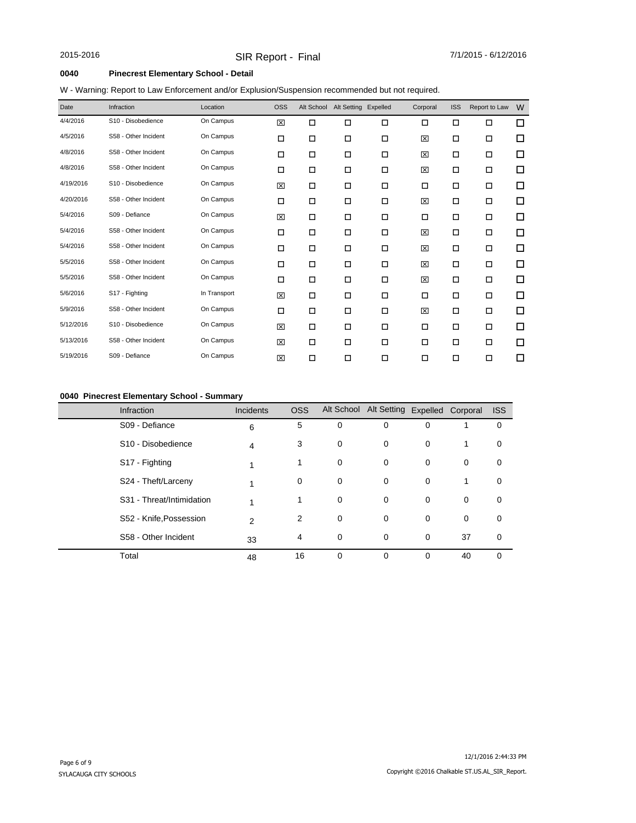### **0040 Pinecrest Elementary School - Detail**

| W - Warning: Report to Law Enforcement and/or Explusion/Suspension recommended but not required. |  |  |  |
|--------------------------------------------------------------------------------------------------|--|--|--|
|                                                                                                  |  |  |  |

| Date      | Infraction           | Location     | <b>OSS</b> |   | Alt School Alt Setting Expelled |        | Corporal | <b>ISS</b> | Report to Law | W      |
|-----------|----------------------|--------------|------------|---|---------------------------------|--------|----------|------------|---------------|--------|
| 4/4/2016  | S10 - Disobedience   | On Campus    | 図          | □ | $\Box$                          | $\Box$ | □        | □          | □             | $\Box$ |
| 4/5/2016  | S58 - Other Incident | On Campus    | □          | □ | $\Box$                          | □      | 図        | □          | $\Box$        | $\Box$ |
| 4/8/2016  | S58 - Other Incident | On Campus    | □          | □ | $\Box$                          | □      | 図        | □          | □             | □      |
| 4/8/2016  | S58 - Other Incident | On Campus    | □          | □ | $\Box$                          | $\Box$ | 図        | □          | □             | □      |
| 4/19/2016 | S10 - Disobedience   | On Campus    | ⊠          | □ | П                               | □      | П        | □          | □             | □      |
| 4/20/2016 | S58 - Other Incident | On Campus    | □          | □ | П                               | □      | 図        | □          | □             | $\Box$ |
| 5/4/2016  | S09 - Defiance       | On Campus    | 図          | □ | $\Box$                          | □      | П        | □          | □             | $\Box$ |
| 5/4/2016  | S58 - Other Incident | On Campus    | □          | □ | $\Box$                          | □      | 図        | □          | □             | □      |
| 5/4/2016  | S58 - Other Incident | On Campus    | □          | □ | $\Box$                          | □      | 図        | □          | □             | $\Box$ |
| 5/5/2016  | S58 - Other Incident | On Campus    | □          | □ | П                               | □      | 図        | □          | □             | □      |
| 5/5/2016  | S58 - Other Incident | On Campus    | □          | □ | П                               | □      | 図        | □          | □             | □      |
| 5/6/2016  | S17 - Fighting       | In Transport | 図          | □ | $\Box$                          | □      | П        | □          | □             | $\Box$ |
| 5/9/2016  | S58 - Other Incident | On Campus    | □          | □ | П                               | □      | 図        | □          | □             | □      |
| 5/12/2016 | S10 - Disobedience   | On Campus    | 図          | □ | $\Box$                          | □      | $\Box$   | □          | $\Box$        | $\Box$ |
| 5/13/2016 | S58 - Other Incident | On Campus    | 図          | □ | П                               | □      | □        | □          | □             | □      |
| 5/19/2016 | S09 - Defiance       | On Campus    | 図          | □ | П                               | □      | □        | □          | □             | □      |

### **0040 Pinecrest Elementary School - Summary**

| <b>Infraction</b>              | <b>Incidents</b> | <b>OSS</b>  |   | Alt School Alt Setting Expelled Corporal |          |    | <b>ISS</b>  |
|--------------------------------|------------------|-------------|---|------------------------------------------|----------|----|-------------|
| S09 - Defiance                 | 6                | 5           | 0 | 0                                        | 0        |    | 0           |
| S <sub>10</sub> - Disobedience | 4                | 3           | 0 | 0                                        | 0        | 1  | 0           |
| S17 Fighting                   |                  | 1           | 0 | 0                                        | 0        | 0  | $\mathbf 0$ |
| S24 - Theft/Larceny            | 1                | $\mathbf 0$ | 0 | 0                                        | 0        | 1  | $\mathbf 0$ |
| S31 - Threat/Intimidation      | 1                | 1           | 0 | 0                                        | 0        | 0  | 0           |
| S52 - Knife, Possession        | $\mathfrak{p}$   | 2           | 0 | 0                                        | 0        | 0  | 0           |
| S58 - Other Incident           | 33               | 4           | 0 | 0                                        | $\Omega$ | 37 | $\Omega$    |
| Total                          | 48               | 16          | 0 | 0                                        | $\Omega$ | 40 | $\Omega$    |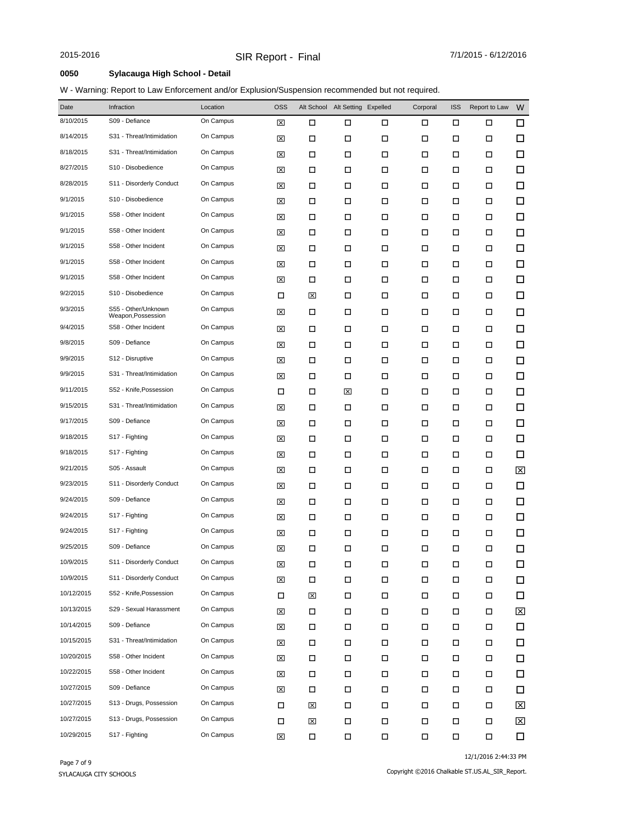### **0050 Sylacauga High School - Detail**

### W - Warning: Report to Law Enforcement and/or Explusion/Suspension recommended but not required.

| Date       | Infraction                                | Location  | <b>OSS</b>  |        | Alt School Alt Setting Expelled |        | Corporal | <b>ISS</b> | Report to Law | W      |
|------------|-------------------------------------------|-----------|-------------|--------|---------------------------------|--------|----------|------------|---------------|--------|
| 8/10/2015  | S09 - Defiance                            | On Campus | ⊠           | □      | □                               | □      | □        | □          | □             | □      |
| 8/14/2015  | S31 - Threat/Intimidation                 | On Campus | ⊠           | □      | □                               | □      | □        | □          | □             | $\Box$ |
| 8/18/2015  | S31 - Threat/Intimidation                 | On Campus | ⊠           | □      | □                               | □      | □        | □          | □             | □      |
| 8/27/2015  | S10 - Disobedience                        | On Campus | ⊠           | □      | □                               | □      | □        | □          | □             | $\Box$ |
| 8/28/2015  | S11 - Disorderly Conduct                  | On Campus | ⊠           | □      | □                               | □      | □        | □          | □             | □      |
| 9/1/2015   | S10 - Disobedience                        | On Campus | ⊠           | □      | □                               | □      | □        | □          | □             | $\Box$ |
| 9/1/2015   | S58 - Other Incident                      | On Campus | ⊠           | □      | □                               | □      | □        | □          | □             | $\Box$ |
| 9/1/2015   | S58 - Other Incident                      | On Campus | ⊠           | □      | □                               | □      | □        | □          | □             | $\Box$ |
| 9/1/2015   | S58 - Other Incident                      | On Campus | ⊠           | □      | □                               | □      | □        | □          | □             | $\Box$ |
| 9/1/2015   | S58 - Other Incident                      | On Campus | ⊠           | □      | □                               | □      | □        | $\Box$     | □             | $\Box$ |
| 9/1/2015   | S58 - Other Incident                      | On Campus | ⊠           | □      | □                               | □      | □        | □          | □             | □      |
| 9/2/2015   | S10 - Disobedience                        | On Campus | □           | 区      | □                               | □      | □        | □          | □             | $\Box$ |
| 9/3/2015   | S55 - Other/Unknown<br>Weapon, Possession | On Campus | ⊠           | □      | □                               | □      | □        | П          | □             | □      |
| 9/4/2015   | S58 - Other Incident                      | On Campus | ⊠           | □      | □                               | □      | □        | □          | □             | $\Box$ |
| 9/8/2015   | S09 - Defiance                            | On Campus | ⊠           | □      | □                               | □      | □        | □          | □             | $\Box$ |
| 9/9/2015   | S12 - Disruptive                          | On Campus | ⊠           | □      | □                               | □      | □        | □          | □             | 口      |
| 9/9/2015   | S31 - Threat/Intimidation                 | On Campus | ⊠           | □      | □                               | □      | □        | □          | □             | $\Box$ |
| 9/11/2015  | S52 - Knife, Possession                   | On Campus | □           | □      | ⊠                               | □      | □        | □          | □             | □      |
| 9/15/2015  | S31 - Threat/Intimidation                 | On Campus | ⊠           | □      | □                               | □      | □        | □          | □             | $\Box$ |
| 9/17/2015  | S09 - Defiance                            | On Campus | ⊠           | □      | □                               | □      | □        | П          | □             | $\Box$ |
| 9/18/2015  | S <sub>17</sub> - Fighting                | On Campus | ⊠           | □      | □                               | □      | □        | □          | □             | $\Box$ |
| 9/18/2015  | S <sub>17</sub> - Fighting                | On Campus | ⊠           | □      | □                               | □      | □        | □          | □             | $\Box$ |
| 9/21/2015  | S05 - Assault                             | On Campus | ⊠           | □      | □                               | □      | □        | □          | □             | ⊠      |
| 9/23/2015  | S11 - Disorderly Conduct                  | On Campus | ⊠           | □      | □                               | □      | □        | □          | □             | 口      |
| 9/24/2015  | S09 - Defiance                            | On Campus | ⊠           | □      | □                               | □      | □        | □          | □             | $\Box$ |
| 9/24/2015  | S17 - Fighting                            | On Campus | ⊠           | □      | □                               | □      | □        | □          | □             | □      |
| 9/24/2015  | S17 - Fighting                            | On Campus | ⊠           | □      | □                               | □      | □        | □          | □             | $\Box$ |
| 9/25/2015  | S09 - Defiance                            | On Campus | 図           | □      | □                               | □      | □        | П          | □             | □      |
| 10/9/2015  | S11 - Disorderly Conduct                  | On Campus | ⊠           | $\Box$ | $\Box$                          | $\Box$ | П        | $\Box$     | П             | $\Box$ |
| 10/9/2015  | S11 - Disorderly Conduct                  | On Campus | $\boxtimes$ | $\Box$ | П                               | $\Box$ | П        | □          | □             | □      |
| 10/12/2015 | S52 - Knife, Possession                   | On Campus | П           | ⊠      | П                               | П      | П        | П          | П             | □      |
| 10/13/2015 | S29 - Sexual Harassment                   | On Campus | ⊠           | □      | □                               | □      | П        | $\Box$     | □             | ⊠      |
| 10/14/2015 | S09 - Defiance                            | On Campus | ⊠           | □      | П                               | $\Box$ | П        | П          | □             | 口      |
| 10/15/2015 | S31 - Threat/Intimidation                 | On Campus | ⊠           | □      | □                               | П      | П        | □          | □             | 口      |
| 10/20/2015 | S58 - Other Incident                      | On Campus | ⊠           | □      | □                               | □      | □        | $\Box$     | □             | $\Box$ |
| 10/22/2015 | S58 - Other Incident                      | On Campus | ⊠           | □      | □                               | □      | □        | □          | П             | 口      |
| 10/27/2015 | S09 - Defiance                            | On Campus | ⊠           | □      | П                               | П      | □        | $\Box$     | □             | □      |
| 10/27/2015 | S13 - Drugs, Possession                   | On Campus | П           | ⊠      | П                               | П      | □        | □          | П             | ⊠      |
| 10/27/2015 | S13 - Drugs, Possession                   | On Campus | □           | ⊠      | П                               | П      | □        | $\Box$     | П             | ⊠      |
| 10/29/2015 | S17 - Fighting                            | On Campus | ⊠           | П      | $\Box$                          | $\Box$ | П        | $\Box$     | П             | □      |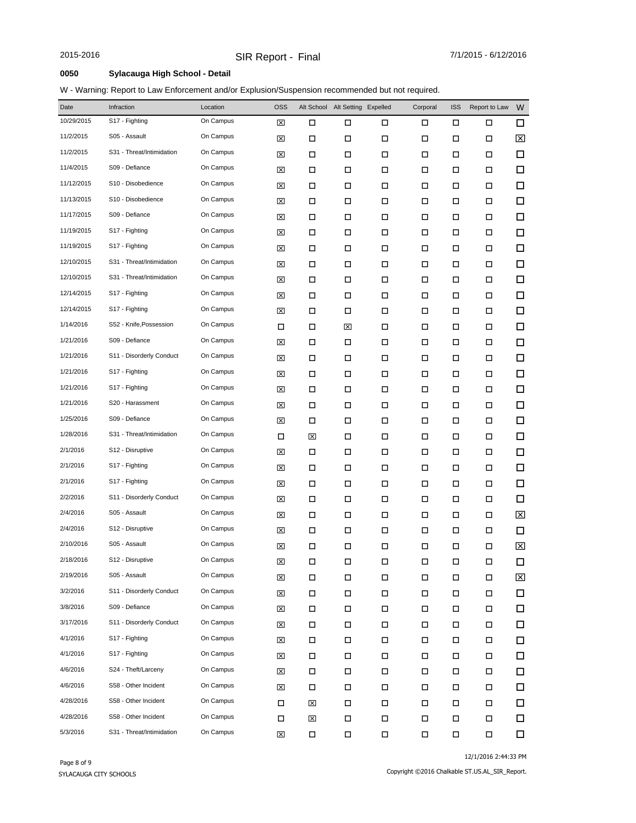### **0050 Sylacauga High School - Detail**

### W - Warning: Report to Law Enforcement and/or Explusion/Suspension recommended but not required.

| Date       | Infraction                | Location  | <b>OSS</b> |   | Alt School Alt Setting Expelled |        | Corporal | <b>ISS</b> | Report to Law | W                       |
|------------|---------------------------|-----------|------------|---|---------------------------------|--------|----------|------------|---------------|-------------------------|
| 10/29/2015 | S17 - Fighting            | On Campus | 図          | П | □                               | □      | □        | □          | □             | 口                       |
| 11/2/2015  | S05 - Assault             | On Campus | ⊠          | □ | П                               | □      | П        | □          | □             | 区                       |
| 11/2/2015  | S31 - Threat/Intimidation | On Campus | ⊠          | □ | □                               | □      | □        | □          | □             | $\Box$                  |
| 11/4/2015  | S09 - Defiance            | On Campus | ⊠          | □ | □                               | □      | □        | □          | □             | $\Box$                  |
| 11/12/2015 | S10 - Disobedience        | On Campus | ⊠          | П | $\Box$                          | □      | □        | □          | □             | □                       |
| 11/13/2015 | S10 - Disobedience        | On Campus | ⊠          | П | □                               | □      | □        | □          | □             | $\Box$                  |
| 11/17/2015 | S09 - Defiance            | On Campus | ⊠          | П | $\Box$                          | □      | □        | □          | □             | $\Box$                  |
| 11/19/2015 | S17 - Fighting            | On Campus | ⊠          | □ | □                               | □      | □        | □          | □             | $\Box$                  |
| 11/19/2015 | S17 - Fighting            | On Campus | ⊠          | П | $\Box$                          | □      | □        | □          | □             | □                       |
| 12/10/2015 | S31 - Threat/Intimidation | On Campus | ⊠          | □ | П                               | □      | □        | □          | □             | $\Box$                  |
| 12/10/2015 | S31 - Threat/Intimidation | On Campus | ⊠          | □ | □                               | □      | □        | □          | □             | $\Box$                  |
| 12/14/2015 | S17 - Fighting            | On Campus | ⊠          | □ | □                               | □      | □        | □          | □             | $\Box$                  |
| 12/14/2015 | S17 - Fighting            | On Campus | ⊠          | □ | □                               | □      | □        | □          | □             | $\Box$                  |
| 1/14/2016  | S52 - Knife, Possession   | On Campus | □          | □ | ⊠                               | □      | □        | □          | □             | $\Box$                  |
| 1/21/2016  | S09 - Defiance            | On Campus | ⊠          | □ | □                               | □      | □        | □          | □             | $\Box$                  |
| 1/21/2016  | S11 - Disorderly Conduct  | On Campus | ⊠          | □ | □                               | □      | □        | □          | □             | $\Box$                  |
| 1/21/2016  | S17 - Fighting            | On Campus | ⊠          | □ | □                               | □      | □        | □          | □             | □                       |
| 1/21/2016  | S17 - Fighting            | On Campus | ⊠          | □ | П                               | □      | □        | □          | □             | $\Box$                  |
| 1/21/2016  | S20 - Harassment          | On Campus | ⊠          | □ | □                               | □      | □        | □          | □             | $\Box$                  |
| 1/25/2016  | S09 - Defiance            | On Campus | ⊠          | □ | □                               | □      | □        | □          | □             | $\Box$                  |
| 1/28/2016  | S31 - Threat/Intimidation | On Campus | □          | 図 | □                               | $\Box$ | □        | □          | □             | □                       |
| 2/1/2016   | S12 - Disruptive          | On Campus | ⊠          | □ | □                               | □      | □        | □          | □             | $\Box$                  |
| 2/1/2016   | S17 - Fighting            | On Campus | ⊠          | □ | П                               | □      | □        | □          | □             | $\Box$                  |
| 2/1/2016   | S17 - Fighting            | On Campus | ⊠          | □ | □                               | □      | □        | □          | □             | $\Box$                  |
| 2/2/2016   | S11 - Disorderly Conduct  | On Campus | ⊠          | □ | □                               | □      | П        | □          | □             | $\Box$                  |
| 2/4/2016   | S05 - Assault             | On Campus | ⊠          | □ | □                               | □      | □        | □          | □             | ⊠                       |
| 2/4/2016   | S12 - Disruptive          | On Campus | ⊠          | □ | □                               | □      | □        | □          | □             | $\Box$                  |
| 2/10/2016  | S05 - Assault             | On Campus | ⊠          | □ | $\Box$                          | □      | □        | □          | □             | $\mathbf{\overline{X}}$ |
| 2/18/2016  | S12 - Disruptive          | On Campus | ⊠          | □ | □                               | □      | □        | □          | □             | □                       |
| 2/19/2016  | S05 - Assault             | On Campus | 図          | □ | П                               | $\Box$ | $\Box$   | □          | □             | $\mathsf{\overline{x}}$ |
| 3/2/2016   | S11 - Disorderly Conduct  | On Campus | 区          | П | П                               | П      | П        | П          | □             | $\Box$                  |
| 3/8/2016   | S09 - Defiance            | On Campus | ⊠          | □ | □                               | □      | □        | П          | □             | □                       |
| 3/17/2016  | S11 - Disorderly Conduct  | On Campus | ⊠          | □ | П                               | П      | □        | □          | П             | 口                       |
| 4/1/2016   | S17 - Fighting            | On Campus | ⊠          | □ | П                               | $\Box$ | □        | □          | □             | □                       |
| 4/1/2016   | S17 - Fighting            | On Campus | 区          | □ | П                               | П      | П        | □          | □             | 口                       |
| 4/6/2016   | S24 - Theft/Larceny       | On Campus | ⊠          | □ | □                               | □      | □        | П          | □             | 口                       |
| 4/6/2016   | S58 - Other Incident      | On Campus | ⊠          | □ | П                               | П      | П        | □          | П             | 口                       |
| 4/28/2016  | S58 - Other Incident      | On Campus | П          | ⊠ | П                               | П      | □        | □          | □             | □                       |
| 4/28/2016  | S58 - Other Incident      | On Campus | П          | ⊠ | П                               | $\Box$ | П        | П          | $\Box$        | 口                       |
| 5/3/2016   | S31 - Threat/Intimidation | On Campus | ⊠          | П | П                               | $\Box$ | П        | П          | $\Box$        | □                       |